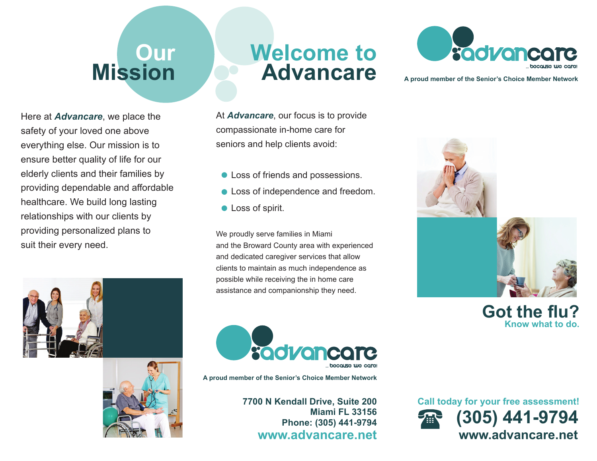# **Our Mission**

Here at *Advancare*, we place the safety of your loved one above everything else. Our mission is to ensure better quality of life for our elderly clients and their families by providing dependable and affordable healthcare. We build long lasting relationships with our clients by providing personalized plans to suit their every need.





## **Welcome toAdvancare**

At *Advancare*, our focus is to provide compassionate in-home care for seniors and help clients avoid:

- Loss of friends and possessions.
- **Loss of independence and freedom.**
- **Loss of spirit.**

We proudly serve families in Miami and the Broward County area with experienced and dedicated caregiver services that allow clients to maintain as much independence as possible while receiving the in home care assistance and companionship they need.



**A proud member of the Senior's Choice Member Network**

**7700 N Kendall Drive, Suite 200 Miami FL 33156Phone: (305) 441-9794 www.advancare.net**



**A proud member of the Senior's Choice Member Network**





**www.advancare.netCall today for your free assessment! (305) 441-9794**